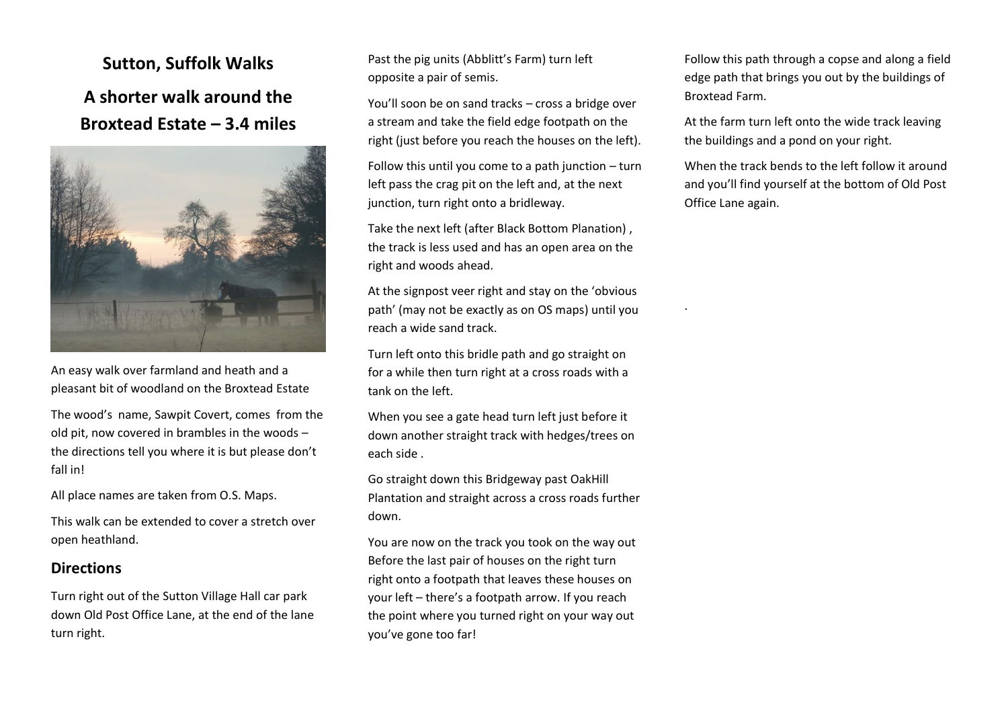**Sutton, Suffolk Walks A shorter walk around the Broxtead Estate – 3.4 miles**



An easy walk over farmland and heath and a pleasant bit of woodland on the Broxtead Estate

The wood's name, Sawpit Covert, comes from the old pit, now covered in brambles in the woods – the directions tell you where it is but please don't fall in!

All place names are taken from O.S. Maps.

This walk can be extended to cover a stretch over open heathland.

## **Directions**

Turn right out of the Sutton Village Hall car park down Old Post Office Lane, at the end of the lane turn right.

Past the pig units (Abblitt's Farm) turn left opposite a pair of semis.

You'll soon be on sand tracks – cross a bridge over a stream and take the field edge footpath on the right (just before you reach the houses on the left).

Follow this until you come to a path junction – turn left pass the crag pit on the left and, at the next junction, turn right onto a bridleway.

Take the next left (after Black Bottom Planation) , the track is less used and has an open area on the right and woods ahead.

At the signpost veer right and stay on the 'obvious path' (may not be exactly as on OS maps) until you reach a wide sand track.

Turn left onto this bridle path and go straight on for a while then turn right at a cross roads with a tank on the left.

When you see a gate head turn left just before it down another straight track with hedges/trees on each side .

Go straight down this Bridgeway past OakHill Plantation and straight across a cross roads further down.

You are now on the track you took on the way out Before the last pair of houses on the right turn right onto a footpath that leaves these houses on your left – there's a footpath arrow. If you reach the point where you turned right on your way out you've gone too far!

Follow this path through a copse and along a field edge path that brings you out by the buildings of Broxtead Farm.

At the farm turn left onto the wide track leaving the buildings and a pond on your right.

When the track bends to the left follow it around and you'll find yourself at the bottom of Old Post Office Lane again.

.